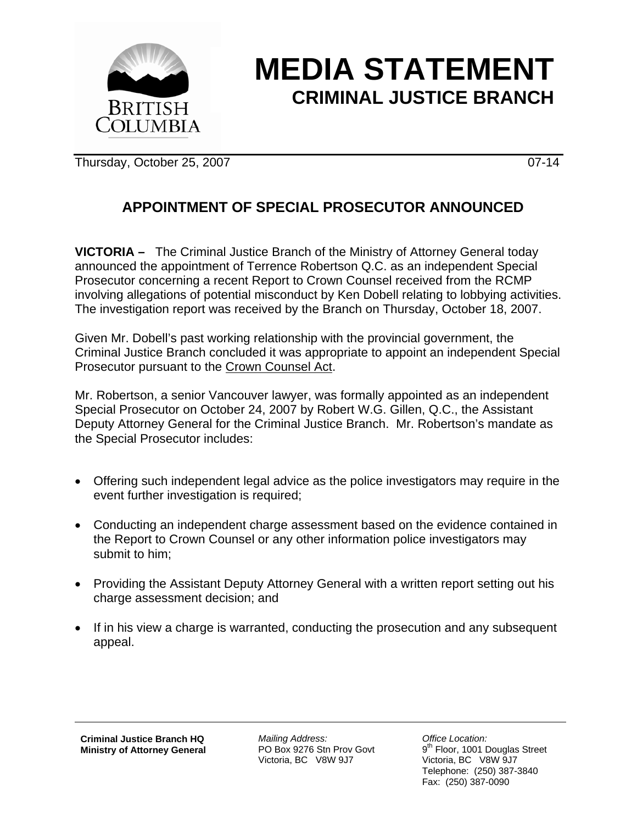

## **MEDIA STATEMENT CRIMINAL JUSTICE BRANCH**

Thursday, October 25, 2007 07-14

## **APPOINTMENT OF SPECIAL PROSECUTOR ANNOUNCED**

**VICTORIA –** The Criminal Justice Branch of the Ministry of Attorney General today announced the appointment of Terrence Robertson Q.C. as an independent Special Prosecutor concerning a recent Report to Crown Counsel received from the RCMP involving allegations of potential misconduct by Ken Dobell relating to lobbying activities. The investigation report was received by the Branch on Thursday, October 18, 2007.

Given Mr. Dobell's past working relationship with the provincial government, the Criminal Justice Branch concluded it was appropriate to appoint an independent Special Prosecutor pursuant to the Crown Counsel Act.

Mr. Robertson, a senior Vancouver lawyer, was formally appointed as an independent Special Prosecutor on October 24, 2007 by Robert W.G. Gillen, Q.C., the Assistant Deputy Attorney General for the Criminal Justice Branch. Mr. Robertson's mandate as the Special Prosecutor includes:

- Offering such independent legal advice as the police investigators may require in the event further investigation is required;
- Conducting an independent charge assessment based on the evidence contained in the Report to Crown Counsel or any other information police investigators may submit to him;
- Providing the Assistant Deputy Attorney General with a written report setting out his charge assessment decision; and
- If in his view a charge is warranted, conducting the prosecution and any subsequent appeal.

**Criminal Justice Branch HQ Ministry of Attorney General**

*Mailing Address:*  PO Box 9276 Stn Prov Govt Victoria, BC V8W 9J7

*Office Location:*  9<sup>th</sup> Floor, 1001 Douglas Street Victoria, BC V8W 9J7 Telephone: (250) 387-3840 Fax: (250) 387-0090